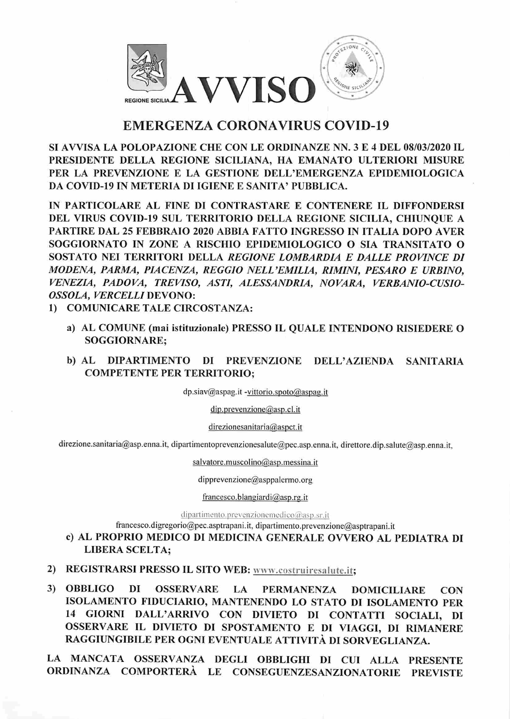

## EMERGENZA CORONA VIRUS COVID-19

SI AVVISA LA POLOPAZIONE CHE CON LE ORDINANZE NN. 3 E 4 DEL 08/03/2020 IL PRESIDENTE DELLA REGIONE SICILIANA, HA EMANATO ULTERIORI MISURE PER LA PREVENZIONE E LA GESTIONE DELL'EMERGENZA EPIDEMIOLOGICA DA COVID-19 IN METERIA DI IGIENE E SANITA' PUBBLICA.

IN PARTICOLARE AL FINE DI CONTRASTARE E CONTENERE IL DIFFONDERSI DEL VIRUS COVID-19 SUL TERRITORIO DELLA REGIONE SICILIA, CHIUNQUE A PARTIRE DAL 25 FEBBRAIO 2020 ABBIA FATTO INGRESSO IN ITALIA DOPO AVER SOGGIORNATO IN ZONE A RISCHIO EPIDEMIOLOGICO O SIA TRANSITATO O SOSTATO NEI TERRITORI DELLA REGIONE LOMBARDIA E DALLE PROVINCE DI MODENA, PARMA, PIACENZA, REGGIO NELL'EMILIA, RIMINI, PESARO E URBINO, VENEZIA, PADOVA, TREVISO, ASTI, ALESSANDRIA, NOVARA, VERBANIO-CUSIO-OSSOLA, VERCELLI DEVONO:

- 1) COMUNICARE TALE CIRCOSTANZA:
	- a) AL COMUNE (mai istituzionale) PRESSO IL QUALE INTENDONO RISIEDERE O SOGGIORNARE;
	- b) AL DIPARTIMENTO DI PREVENZIONE DELL'AZIENDA SANITARIA COMPETENTE PER TERRITORIO;

dp.siav@aspag.it -vittorio.spoto@aspag.it

dip.prevenzione@asp.cl.it

## direzionesanitaria@aspct.it

direzione.sanitaria@asp.enna.it, dipartimentoprevenzionesalute@pec.asp.enna.it, direttore.dip.salute@asp.enna.it,

salvatore.muscolino@asp.messina.it

dipprevenzione@asppalermo.org

## francesco.blangiardi@asp.rg.it

 $dipartimento.prevenzione medico@asp.sr.it$ 

francesco.digregorio@pec.asptrapani.it, dipariimento.prevenzione@asptrapani.it

- c) AL PROPRIO MEDICO DI MEDICINA GENERALE OVVERO AL PEDIATRA DI LIBERA SCELTA;
- 2) REGISTRARSI PRESSO IL SITO WEB: www.costruiresalute.it;
- 3) OBBLIGO DI OSSERVARE LA PERMANENZA DOMICILIARE CON ISOLAMENTO FIDUCIARIO, MANTENENDO LO STATO DI ISOLAMENTO PER 14 GIORNI DALL'ARRIVO CON DIVIETO DI CONTATTI SOCIALI, DI OSSERVARE IL DIVIETO DI SPOSTAMENTO E DI VIAGGI, DI RIMANERE RAGGIUNGIBILE PER OGNI EVENTUALE ATTIVITÀ DI SORVEGLIANZA.

LA MANCATA OSSERVANZA DEGLI OBBLIGHI DI CUI ALLA PRESENTE ORDINANZA COMPORTERÀ LE CONSEGUENZESANZIONATORIE PREVISTE